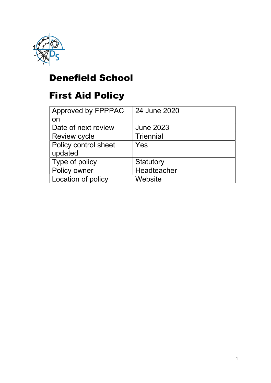

# Denefield School

# First Aid Policy

| Approved by FPPPAC   | 24 June 2020     |
|----------------------|------------------|
| on                   |                  |
| Date of next review  | <b>June 2023</b> |
| <b>Review cycle</b>  | <b>Triennial</b> |
| Policy control sheet | Yes              |
| updated              |                  |
| Type of policy       | Statutory        |
| Policy owner         | Headteacher      |
| Location of policy   | Website          |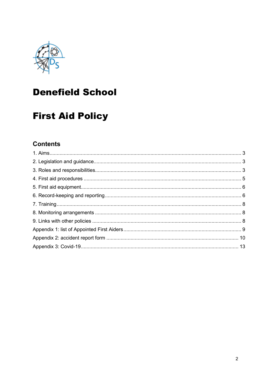

# **Denefield School**

# **First Aid Policy**

### **Contents**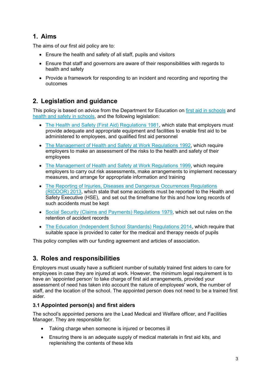### 1. Aims

The aims of our first aid policy are to:

- Ensure the health and safety of all staff, pupils and visitors
- Ensure that staff and governors are aware of their responsibilities with regards to health and safety
- Provide a framework for responding to an incident and recording and reporting the outcomes

### 2. Legislation and guidance

This policy is based on advice from the Department for Education on first aid in schools and health and safety in schools, and the following legislation:

- The Health and Safety (First Aid) Regulations 1981, which state that employers must provide adequate and appropriate equipment and facilities to enable first aid to be administered to employees, and qualified first aid personnel
- The Management of Health and Safety at Work Regulations 1992, which require employers to make an assessment of the risks to the health and safety of their employees
- The Management of Health and Safety at Work Regulations 1999, which require employers to carry out risk assessments, make arrangements to implement necessary measures, and arrange for appropriate information and training
- The Reporting of Injuries, Diseases and Dangerous Occurrences Regulations (RIDDOR) 2013, which state that some accidents must be reported to the Health and Safety Executive (HSE), and set out the timeframe for this and how long records of such accidents must be kept
- Social Security (Claims and Payments) Regulations 1979, which set out rules on the retention of accident records
- The Education (Independent School Standards) Regulations 2014, which require that suitable space is provided to cater for the medical and therapy needs of pupils

This policy complies with our funding agreement and articles of association.

### 3. Roles and responsibilities

Employers must usually have a sufficient number of suitably trained first aiders to care for employees in case they are injured at work. However, the minimum legal requirement is to have an 'appointed person' to take charge of first aid arrangements, provided your assessment of need has taken into account the nature of employees' work, the number of staff, and the location of the school. The appointed person does not need to be a trained first aider.

### 3.1 Appointed person(s) and first aiders

The school's appointed persons are the Lead Medical and Welfare officer, and Facilities Manager. They are responsible for:

- Taking charge when someone is injured or becomes ill
- Ensuring there is an adequate supply of medical materials in first aid kits, and replenishing the contents of these kits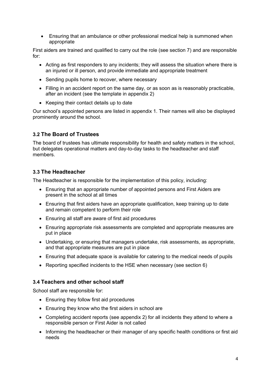Ensuring that an ambulance or other professional medical help is summoned when appropriate

First aiders are trained and qualified to carry out the role (see section 7) and are responsible for:

- Acting as first responders to any incidents; they will assess the situation where there is an injured or ill person, and provide immediate and appropriate treatment
- Sending pupils home to recover, where necessary
- Filling in an accident report on the same day, or as soon as is reasonably practicable, after an incident (see the template in appendix 2)
- Keeping their contact details up to date

Our school's appointed persons are listed in appendix 1. Their names will also be displayed prominently around the school.

#### 3.2 The Board of Trustees

The board of trustees has ultimate responsibility for health and safety matters in the school, but delegates operational matters and day-to-day tasks to the headteacher and staff members.

#### 3.3 The Headteacher

The Headteacher is responsible for the implementation of this policy, including:

- Ensuring that an appropriate number of appointed persons and First Aiders are present in the school at all times
- Ensuring that first aiders have an appropriate qualification, keep training up to date and remain competent to perform their role
- Ensuring all staff are aware of first aid procedures
- Ensuring appropriate risk assessments are completed and appropriate measures are put in place
- Undertaking, or ensuring that managers undertake, risk assessments, as appropriate, and that appropriate measures are put in place
- Ensuring that adequate space is available for catering to the medical needs of pupils
- Reporting specified incidents to the HSE when necessary (see section 6)

#### 3.4 Teachers and other school staff

School staff are responsible for:

- Ensuring they follow first aid procedures
- Ensuring they know who the first aiders in school are
- Completing accident reports (see appendix 2) for all incidents they attend to where a responsible person or First Aider is not called
- Informing the headteacher or their manager of any specific health conditions or first aid needs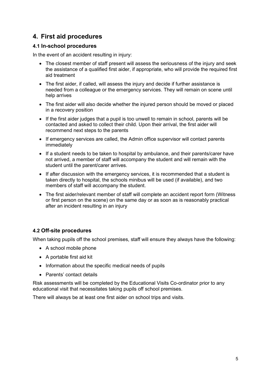### 4. First aid procedures

#### 4.1 In-school procedures

In the event of an accident resulting in injury:

- The closest member of staff present will assess the seriousness of the injury and seek the assistance of a qualified first aider, if appropriate, who will provide the required first aid treatment
- The first aider, if called, will assess the injury and decide if further assistance is needed from a colleague or the emergency services. They will remain on scene until help arrives
- The first aider will also decide whether the injured person should be moved or placed in a recovery position
- If the first aider judges that a pupil is too unwell to remain in school, parents will be contacted and asked to collect their child. Upon their arrival, the first aider will recommend next steps to the parents
- If emergency services are called, the Admin office supervisor will contact parents immediately
- If a student needs to be taken to hospital by ambulance, and their parents/carer have not arrived, a member of staff will accompany the student and will remain with the student until the parent/carer arrives.
- If after discussion with the emergency services, it is recommended that a student is taken directly to hospital, the schools minibus will be used (if available), and two members of staff will accompany the student.
- The first aider/relevant member of staff will complete an accident report form (Witness or first person on the scene) on the same day or as soon as is reasonably practical after an incident resulting in an injury

#### 4.2 Off-site procedures

When taking pupils off the school premises, staff will ensure they always have the following:

- A school mobile phone
- A portable first aid kit
- Information about the specific medical needs of pupils
- Parents' contact details

Risk assessments will be completed by the Educational Visits Co-ordinator prior to any educational visit that necessitates taking pupils off school premises.

There will always be at least one first aider on school trips and visits.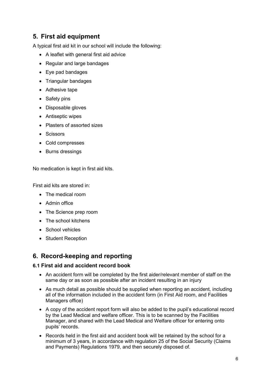### 5. First aid equipment

A typical first aid kit in our school will include the following:

- A leaflet with general first aid advice
- Regular and large bandages
- Eye pad bandages
- Triangular bandages
- Adhesive tape
- Safety pins
- Disposable gloves
- Antiseptic wipes
- Plasters of assorted sizes
- Scissors
- Cold compresses
- Burns dressings

No medication is kept in first aid kits.

First aid kits are stored in:

- The medical room
- Admin office
- The Science prep room
- The school kitchens
- School vehicles
- Student Reception

### 6. Record-keeping and reporting

#### 6.1 First aid and accident record book

- An accident form will be completed by the first aider/relevant member of staff on the same day or as soon as possible after an incident resulting in an injury
- As much detail as possible should be supplied when reporting an accident, including all of the information included in the accident form (in First Aid room, and Facilities Managers office)
- A copy of the accident report form will also be added to the pupil's educational record by the Lead Medical and welfare officer. This is to be scanned by the Facilities Manager, and shared with the Lead Medical and Welfare officer for entering onto pupils' records.
- Records held in the first aid and accident book will be retained by the school for a minimum of 3 years, in accordance with regulation 25 of the Social Security (Claims and Payments) Regulations 1979, and then securely disposed of.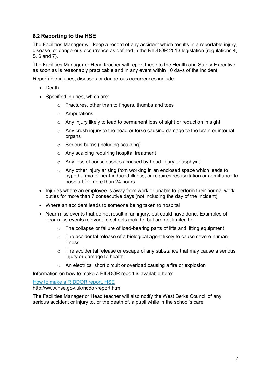#### 6.2 Reporting to the HSE

The Facilities Manager will keep a record of any accident which results in a reportable injury, disease, or dangerous occurrence as defined in the RIDDOR 2013 legislation (regulations 4, 5, 6 and 7).

The Facilities Manager or Head teacher will report these to the Health and Safety Executive as soon as is reasonably practicable and in any event within 10 days of the incident.

Reportable injuries, diseases or dangerous occurrences include:

- Death
- Specified injuries, which are:
	- o Fractures, other than to fingers, thumbs and toes
	- o Amputations
	- o Any injury likely to lead to permanent loss of sight or reduction in sight
	- o Any crush injury to the head or torso causing damage to the brain or internal organs
	- o Serious burns (including scalding)
	- o Any scalping requiring hospital treatment
	- o Any loss of consciousness caused by head injury or asphyxia
	- o Any other injury arising from working in an enclosed space which leads to hypothermia or heat-induced illness, or requires resuscitation or admittance to hospital for more than 24 hours
- Injuries where an employee is away from work or unable to perform their normal work duties for more than 7 consecutive days (not including the day of the incident)
- Where an accident leads to someone being taken to hospital
- Near-miss events that do not result in an injury, but could have done. Examples of near-miss events relevant to schools include, but are not limited to:
	- o The collapse or failure of load-bearing parts of lifts and lifting equipment
	- o The accidental release of a biological agent likely to cause severe human illness
	- o The accidental release or escape of any substance that may cause a serious injury or damage to health
	- o An electrical short circuit or overload causing a fire or explosion

Information on how to make a RIDDOR report is available here:

How to make a RIDDOR report, HSE

http://www.hse.gov.uk/riddor/report.htm

The Facilities Manager or Head teacher will also notify the West Berks Council of any serious accident or injury to, or the death of, a pupil while in the school's care.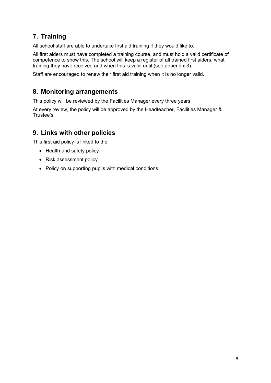### 7. Training

All school staff are able to undertake first aid training if they would like to.

All first aiders must have completed a training course, and must hold a valid certificate of competence to show this. The school will keep a register of all trained first aiders, what training they have received and when this is valid until (see appendix 3).

Staff are encouraged to renew their first aid training when it is no longer valid.

### 8. Monitoring arrangements

This policy will be reviewed by the Facilities Manager every three years.

At every review, the policy will be approved by the Headteacher, Facilities Manager & Trustee's

### 9. Links with other policies

This first aid policy is linked to the

- Health and safety policy
- Risk assessment policy
- Policy on supporting pupils with medical conditions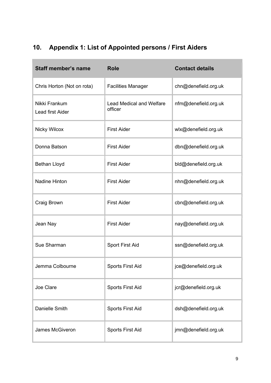## 10. Appendix 1: List of Appointed persons / First Aiders

| <b>Staff member's name</b>        | <b>Role</b>                                | <b>Contact details</b> |
|-----------------------------------|--------------------------------------------|------------------------|
| Chris Horton (Not on rota)        | <b>Facilities Manager</b>                  | chn@denefield.org.uk   |
| Nikki Frankum<br>Lead first Aider | <b>Lead Medical and Welfare</b><br>officer | nfm@denefield.org.uk   |
| <b>Nicky Wilcox</b>               | <b>First Aider</b>                         | wlx@denefield.org.uk   |
| Donna Batson                      | <b>First Aider</b>                         | dbn@denefield.org.uk   |
| <b>Bethan Lloyd</b>               | <b>First Aider</b>                         | bld@denefield.org.uk   |
| <b>Nadine Hinton</b>              | <b>First Aider</b>                         | nhn@denefield.org.uk   |
| Craig Brown                       | <b>First Aider</b>                         | cbn@denefield.org.uk   |
| Jean Nay                          | <b>First Aider</b>                         | nay@denefield.org.uk   |
| Sue Sharman                       | <b>Sport First Aid</b>                     | ssn@denefield.org.uk   |
| Jemma Colbourne                   | <b>Sports First Aid</b>                    | jce@denefield.org.uk   |
| Joe Clare                         | <b>Sports First Aid</b>                    | jcr@denefield.org.uk   |
| <b>Danielle Smith</b>             | <b>Sports First Aid</b>                    | dsh@denefield.org.uk   |
| James McGiveron                   | <b>Sports First Aid</b>                    | jmn@denefield.org.uk   |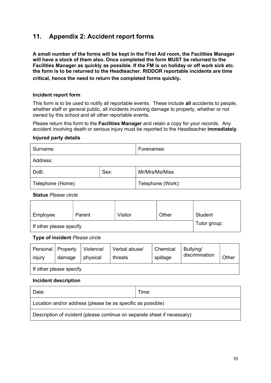### 11. Appendix 2: Accident report forms

A small number of the forms will be kept in the First Aid room, the Facilities Manager will have a stock of them also. Once completed the form MUST be returned to the Facilities Manager as quickly as possible. If the FM is on holiday or off work sick etc. the form is to be returned to the Headteacher. RIDDOR reportable incidents are time critical, hence the need to return the completed forms quickly.

#### Incident report form

This form is to be used to notify all reportable events. These include all accidents to people, whether staff or general public, all incidents involving damage to property, whether or not owned by this school and all other reportable events.

Please return this form to the Facilities Manager and retain a copy for your records. Any accident involving death or serious injury must be reported to the Headteacher immediately.

#### Injured party details

| Surname:          |      | Forenames:        |
|-------------------|------|-------------------|
| Address:          |      |                   |
| DoB:              | Sex: | Mr/Mrs/Ms/Miss    |
| Telephone (Home): |      | Telephone (Work): |

Status Please circle

| Employee                | Parent       | <b>Visitor</b> | Other | Student |
|-------------------------|--------------|----------------|-------|---------|
| If other please specify | Tutor group: |                |       |         |

Type of incident Please circle

| Personal                | Property | Violence/ | Verbal abuse/ | Chemical | Bullying/      | Other |
|-------------------------|----------|-----------|---------------|----------|----------------|-------|
| injury                  | damage   | physical  | threats       | spillage | discrimination |       |
| If other please specify |          |           |               |          |                |       |

#### Incident description

| Date:                                                                    | Time: |  |
|--------------------------------------------------------------------------|-------|--|
| Location and/or address (please be as specific as possible)              |       |  |
| Description of incident (please continue on separate sheet if necessary) |       |  |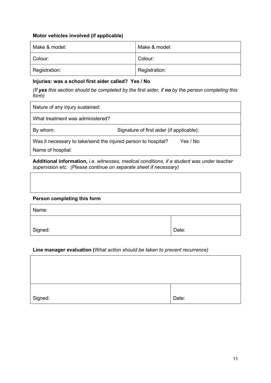#### Motor vehicles involved (if applicable)

| Make & model: | Make & model: |
|---------------|---------------|
| Colour:       | Colour:       |
| Registration: | Registration: |

#### Injuries: was a school first aider called? Yes / No

(If yes this section should be completed by the first aider, if no by the person completing this form)

| Nature of any injury sustained:                                                    |                                           |          |
|------------------------------------------------------------------------------------|-------------------------------------------|----------|
| What treatment was administered?                                                   |                                           |          |
| By whom:                                                                           | Signature of first aider (if applicable): |          |
| Was it necessary to take/send the injured person to hospital?<br>Name of hospital: |                                           | Yes / No |

Additional information, i.e. witnesses, medical conditions, if a student was under teacher supervision etc. (Please continue on separate sheet if necessary)

#### Person completing this form

| Name:   |       |
|---------|-------|
| Signed: | Date: |

#### Line manager evaluation (What action should be taken to prevent recurrence)

| Signed: | Date: |
|---------|-------|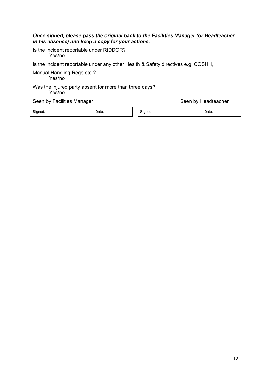#### Once signed, please pass the original back to the Facilities Manager (or Headteacher in his absence) and keep a copy for your actions.

Is the incident reportable under RIDDOR? Yes/no

Is the incident reportable under any other Health & Safety directives e.g. COSHH,

Manual Handling Regs etc.?

Yes/no

#### Was the injured party absent for more than three days?

Yes/no

#### Seen by Facilities Manager Seen by Headteacher

Signed: Date: Signed: Date: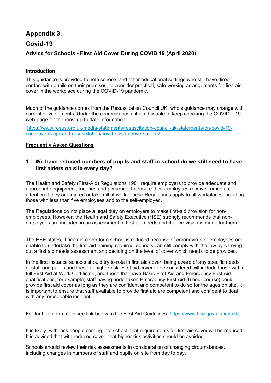### Appendix 3. Covid-19 Advice for Schools - First Aid Cover During COVID 19 (April 2020)

#### Introduction

This guidance is provided to help schools and other educational settings who still have direct contact with pupils on their premises, to consider practical, safe working arrangements for first aid cover in the workplace during the COVID-19 pandemic.

Much of the guidance comes from the Resuscitation Council UK, who's guidance may change with current developments. Under the circumstances, it is advisable to keep checking the COVID – 19 web-page for the most up to date information:

https://www.resus.org.uk/media/statements/resuscitation-council-uk-statements-on-covid-19 coronavirus-cpr-and-resuscitation/covid-crisis-conversations/

#### Frequently Asked Questions

#### 1. We have reduced numbers of pupils and staff in school do we still need to have first aiders on site every day?

The Health and Safety (First-Aid) Regulations 1981 require employers to provide adequate and appropriate equipment, facilities and personnel to ensure their employees receive immediate attention if they are injured or taken ill at work. These Regulations apply to all workplaces including those with less than five employees and to the self-employed.

The Regulations do not place a legal duty on employers to make first-aid provision for nonemployees. However, the Health and Safety Executive (HSE) strongly recommends that nonemployees are included in an assessment of first-aid needs and that provision is made for them.

The HSE states, if first aid cover for a school is reduced because of coronavirus or employees are unable to undertake the first aid training required, schools can still comply with the law by carrying out a first aid needs assessment and deciding on the level of cover which needs to be provided.

In the first instance schools should try to rota in first aid cover, being aware of any specific needs of staff and pupils and those at higher risk. First aid cover to be considered will include those with a full First Aid at Work Certificate, and those that have Basic First Aid and Emergency First Aid qualifications, for example; staff having undertaken Emergency First Aid (6 hour course) could provide first aid cover as long as they are confident and competent to do so for the ages on site. It is important to ensure that staff available to provide first aid are competent and confident to deal with any foreseeable incident.

For further information see link below to the First Aid Guidelines: https://www.hse.gov.uk/firstaid/

It is likely, with less people coming into school, that requirements for first aid cover will be reduced. It is advised that with reduced cover, that higher risk activities should be avoided.

Schools should review their risk assessments in consideration of changing circumstances, including changes in numbers of staff and pupils on site from day to day.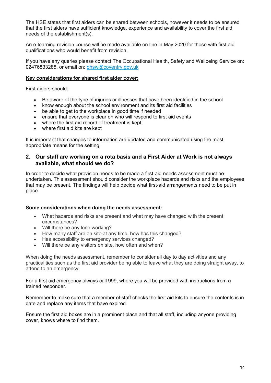The HSE states that first aiders can be shared between schools, however it needs to be ensured that the first aiders have sufficient knowledge, experience and availability to cover the first aid needs of the establishment(s).

An e-learning revision course will be made available on line in May 2020 for those with first aid qualifications who would benefit from revision.

If you have any queries please contact The Occupational Health, Safety and Wellbeing Service on: 02476833285, or email on: ohsw@coventry.gov.uk

#### Key considerations for shared first aider cover:

First aiders should:

- Be aware of the type of injuries or illnesses that have been identified in the school
- know enough about the school environment and its first aid facilities
- be able to get to the workplace in good time if needed
- ensure that everyone is clear on who will respond to first aid events
- where the first aid record of treatment is kept
- where first aid kits are kept

It is important that changes to information are updated and communicated using the most appropriate means for the setting.

#### 2. Our staff are working on a rota basis and a First Aider at Work is not always available, what should we do?

In order to decide what provision needs to be made a first-aid needs assessment must be undertaken. This assessment should consider the workplace hazards and risks and the employees that may be present. The findings will help decide what first-aid arrangements need to be put in place.

#### Some considerations when doing the needs assessment:

- What hazards and risks are present and what may have changed with the present circumstances?
- Will there be any lone working?
- How many staff are on site at any time, how has this changed?
- Has accessibility to emergency services changed?
- Will there be any visitors on site, how often and when?

When doing the needs assessment, remember to consider all day to day activities and any practicalities such as the first aid provider being able to leave what they are doing straight away, to attend to an emergency.

For a first aid emergency always call 999, where you will be provided with instructions from a trained responder.

Remember to make sure that a member of staff checks the first aid kits to ensure the contents is in date and replace any items that have expired.

Ensure the first aid boxes are in a prominent place and that all staff, including anyone providing cover, knows where to find them.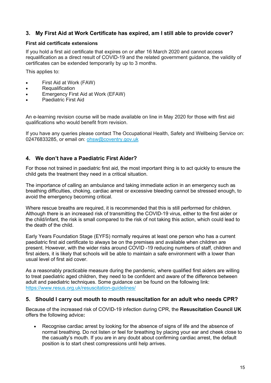#### 3. My First Aid at Work Certificate has expired, am I still able to provide cover?

#### First aid certificate extensions

If you hold a first aid certificate that expires on or after 16 March 2020 and cannot access requalification as a direct result of COVID-19 and the related government guidance, the validity of certificates can be extended temporarily by up to 3 months.

This applies to:

- First Aid at Work (FAW)
- Requalification
- Emergency First Aid at Work (EFAW)
- Paediatric First Aid

An e-learning revision course will be made available on line in May 2020 for those with first aid qualifications who would benefit from revision.

If you have any queries please contact The Occupational Health, Safety and Wellbeing Service on: 02476833285, or email on: ohsw@coventry.gov.uk

#### 4. We don't have a Paediatric First Aider?

For those not trained in paediatric first aid, the most important thing is to act quickly to ensure the child gets the treatment they need in a critical situation.

The importance of calling an ambulance and taking immediate action in an emergency such as breathing difficulties, choking, cardiac arrest or excessive bleeding cannot be stressed enough, to avoid the emergency becoming critical.

Where rescue breaths are required, it is recommended that this is still performed for children. Although there is an increased risk of transmitting the COVID-19 virus, either to the first aider or the child/infant, the risk is small compared to the risk of not taking this action, which could lead to the death of the child.

Early Years Foundation Stage (EYFS) normally requires at least one person who has a current paediatric first aid certificate to always be on the premises and available when children are present. However, with the wider risks around COVID -19 reducing numbers of staff, children and first aiders, it is likely that schools will be able to maintain a safe environment with a lower than usual level of first aid cover.

As a reasonably practicable measure during the pandemic, where qualified first aiders are willing to treat paediatric aged children, they need to be confident and aware of the difference between adult and paediatric techniques. Some guidance can be found on the following link: https://www.resus.org.uk/resuscitation-guidelines/

#### 5. Should I carry out mouth to mouth resuscitation for an adult who needs CPR?

Because of the increased risk of COVID-19 infection during CPR, the Resuscitation Council UK offers the following advice:

 Recognise cardiac arrest by looking for the absence of signs of life and the absence of normal breathing. Do not listen or feel for breathing by placing your ear and cheek close to the casualty's mouth. If you are in any doubt about confirming cardiac arrest, the default position is to start chest compressions until help arrives.